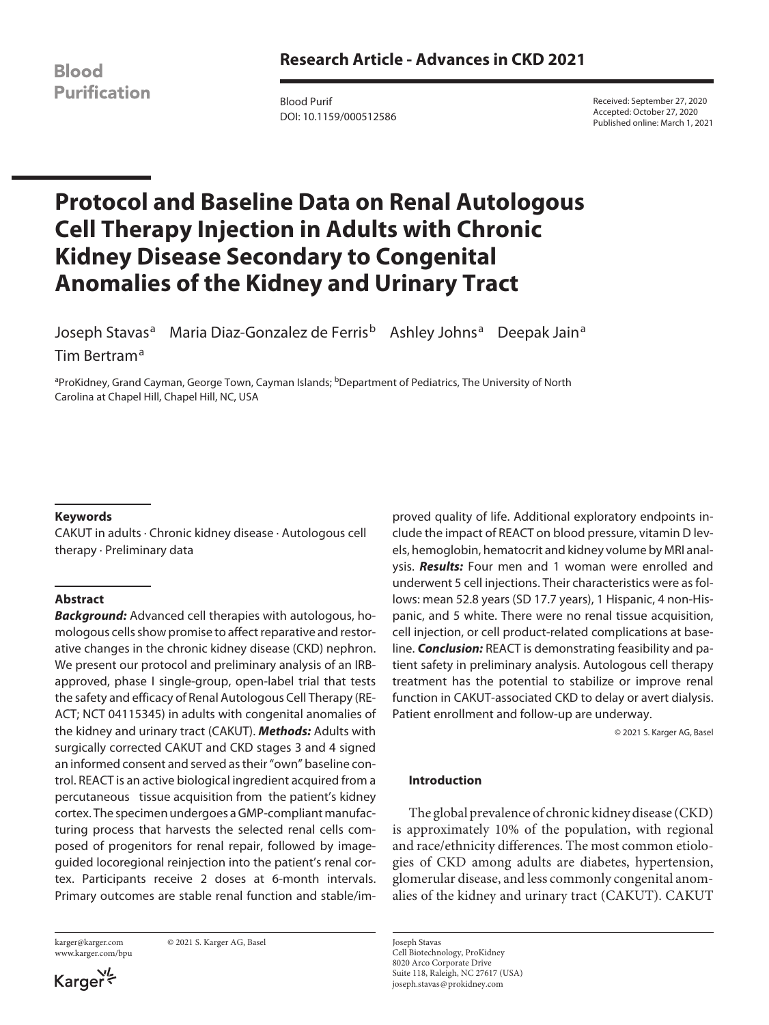**Blood Purification** 

Blood Purif DOI: 10.1159/000512586 Received: September 27, 2020 Accepted: October 27, 2020 Published online: March 1, 2021

# **Protocol and Baseline Data on Renal Autologous Cell Therapy Injection in Adults with Chronic Kidney Disease Secondary to Congenital Anomalies of the Kidney and Urinary Tract**

Joseph Stavas<sup>a</sup> Maria Diaz-Gonzalez de Ferris<sup>b</sup> Ashley Johns<sup>a</sup> Deepak Jain<sup>a</sup> Tim Bertram<sup>a</sup>

<sup>a</sup>ProKidney, Grand Cayman, George Town, Cayman Islands; <sup>b</sup>Department of Pediatrics, The University of North Carolina at Chapel Hill, Chapel Hill, NC, USA

## **Keywords**

CAKUT in adults · Chronic kidney disease · Autologous cell therapy · Preliminary data

## **Abstract**

*Background:* Advanced cell therapies with autologous, homologous cells show promise to affect reparative and restorative changes in the chronic kidney disease (CKD) nephron. We present our protocol and preliminary analysis of an IRBapproved, phase I single-group, open-label trial that tests the safety and efficacy of Renal Autologous Cell Therapy (RE-ACT; NCT 04115345) in adults with congenital anomalies of the kidney and urinary tract (CAKUT). *Methods:* Adults with surgically corrected CAKUT and CKD stages 3 and 4 signed an informed consent and served as their "own" baseline control. REACT is an active biological ingredient acquired from a percutaneous tissue acquisition from the patient's kidney cortex. The specimen undergoes a GMP-compliant manufacturing process that harvests the selected renal cells composed of progenitors for renal repair, followed by imageguided locoregional reinjection into the patient's renal cortex. Participants receive 2 doses at 6-month intervals. Primary outcomes are stable renal function and stable/im-

www.karger.com/bpu

karger@karger.com © 2021 S. Karger AG, Basel

Karger

proved quality of life. Additional exploratory endpoints include the impact of REACT on blood pressure, vitamin D levels, hemoglobin, hematocrit and kidney volume by MRI analysis. *Results:* Four men and 1 woman were enrolled and underwent 5 cell injections. Their characteristics were as follows: mean 52.8 years (SD 17.7 years), 1 Hispanic, 4 non-Hispanic, and 5 white. There were no renal tissue acquisition, cell injection, or cell product-related complications at baseline. *Conclusion:* REACT is demonstrating feasibility and patient safety in preliminary analysis. Autologous cell therapy treatment has the potential to stabilize or improve renal function in CAKUT-associated CKD to delay or avert dialysis. Patient enrollment and follow-up are underway.

© 2021 S. Karger AG, Basel

#### **Introduction**

The global prevalence of chronic kidney disease (CKD) is approximately 10% of the population, with regional and race/ethnicity differences. The most common etiologies of CKD among adults are diabetes, hypertension, glomerular disease, and less commonly congenital anomalies of the kidney and urinary tract (CAKUT). CAKUT

Joseph Stavas Cell Biotechnology, ProKidney 8020 Arco Corporate Drive Suite 118, Raleigh, NC 27617 (USA) joseph.stavas@prokidney.com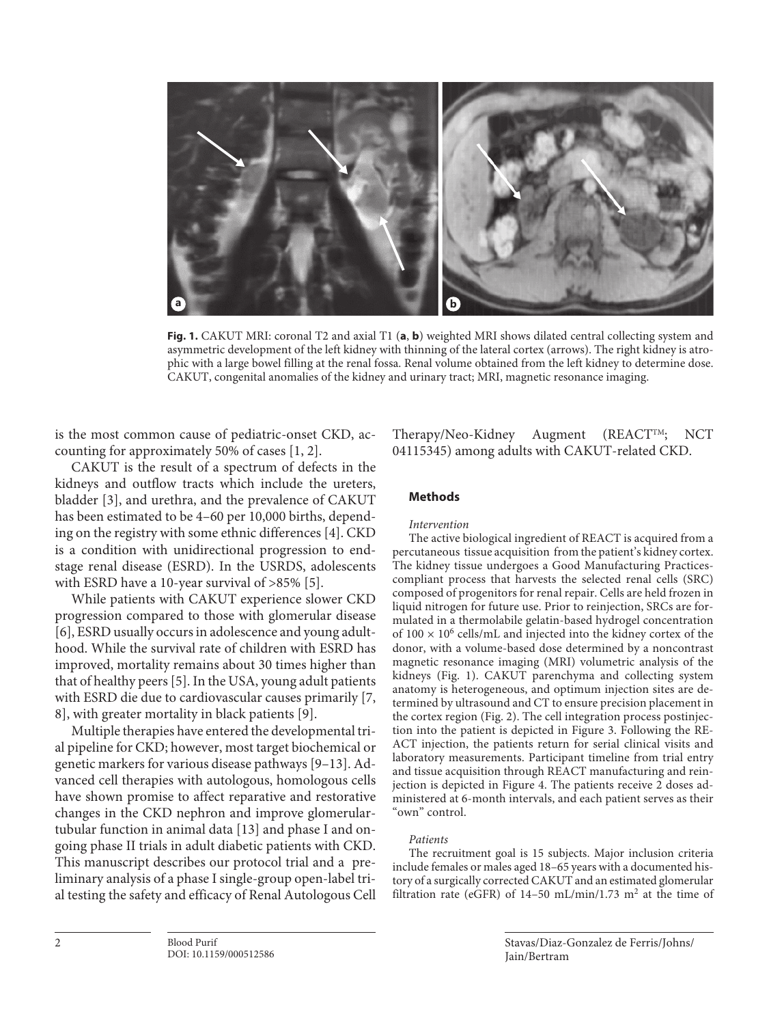

**Fig. 1.** CAKUT MRI: coronal T2 and axial T1 (**a**, **b**) weighted MRI shows dilated central collecting system and asymmetric development of the left kidney with thinning of the lateral cortex (arrows). The right kidney is atrophic with a large bowel filling at the renal fossa. Renal volume obtained from the left kidney to determine dose. CAKUT, congenital anomalies of the kidney and urinary tract; MRI, magnetic resonance imaging.

<span id="page-1-0"></span>is the most common cause of pediatric-onset CKD, accounting for approximately 50% of cases [[1,](#page-4-0) [2](#page-4-1)].

<span id="page-1-2"></span><span id="page-1-1"></span>CAKUT is the result of a spectrum of defects in the kidneys and outflow tracts which include the ureters, bladder [[3](#page-5-0)], and urethra, and the prevalence of CAKUT has been estimated to be 4–60 per 10,000 births, depending on the registry with some ethnic differences [[4](#page-5-1)]. CKD is a condition with unidirectional progression to endstage renal disease (ESRD). In the USRDS, adolescents with ESRD have a 10-year survival of >85% [\[5\]](#page-5-2).

<span id="page-1-4"></span><span id="page-1-3"></span>While patients with CAKUT experience slower CKD progression compared to those with glomerular disease [\[6\]](#page-5-3), ESRD usually occurs in adolescence and young adulthood. While the survival rate of children with ESRD has improved, mortality remains about 30 times higher than that of healthy peers [[5](#page-5-2)]. In the USA, young adult patients with ESRD die due to cardiovascular causes primarily [\[7,](#page-5-4) [8\]](#page-5-5), with greater mortality in black patients [\[9](#page-5-6)].

<span id="page-1-6"></span><span id="page-1-5"></span>Multiple therapies have entered the developmental trial pipeline for CKD; however, most target biochemical or genetic markers for various disease pathways [\[9](#page-5-6)[–1](#page-4-0)[3\]](#page-5-0). Advanced cell therapies with autologous, homologous cells have shown promise to affect reparative and restorative changes in the CKD nephron and improve glomerulartubular function in animal data [[1](#page-4-0)[3](#page-5-0)] and phase I and ongoing phase II trials in adult diabetic patients with CKD. This manuscript describes our protocol trial and a preliminary analysis of a phase I single-group open-label trial testing the safety and efficacy of Renal Autologous Cell

Therapy/Neo-Kidney Augment (REACTTM; NCT 04115345) among adults with CAKUT-related CKD.

## **Methods**

#### *Intervention*

The active biological ingredient of REACT is acquired from a percutaneous tissue acquisition from the patient's kidney cortex. The kidney tissue undergoes a Good Manufacturing Practicescompliant process that harvests the selected renal cells (SRC) composed of progenitors for renal repair. Cells are held frozen in liquid nitrogen for future use. Prior to reinjection, SRCs are formulated in a thermolabile gelatin-based hydrogel concentration of  $100 \times 10^6$  cells/mL and injected into the kidney cortex of the donor, with a volume-based dose determined by a noncontrast magnetic resonance imaging (MRI) volumetric analysis of the kidneys (Fig. 1). CAKUT parenchyma and collecting system anatomy is heterogeneous, and optimum injection sites are determined by ultrasound and CT to ensure precision placement in the cortex region (Fig. 2). The cell integration process postinjection into the patient is depicted in Figure 3. Following the RE-ACT injection, the patients return for serial clinical visits and laboratory measurements. Participant timeline from trial entry and tissue acquisition through REACT manufacturing and reinjection is depicted in Figure 4. The patients receive 2 doses administered at 6-month intervals, and each patient serves as their "own" control.

#### *Patients*

The recruitment goal is 15 subjects. Major inclusion criteria include females or males aged 18–65 years with a documented history of a surgically corrected CAKUT and an estimated glomerular filtration rate (eGFR) of 14-50 mL/min/1.73 m<sup>2</sup> at the time of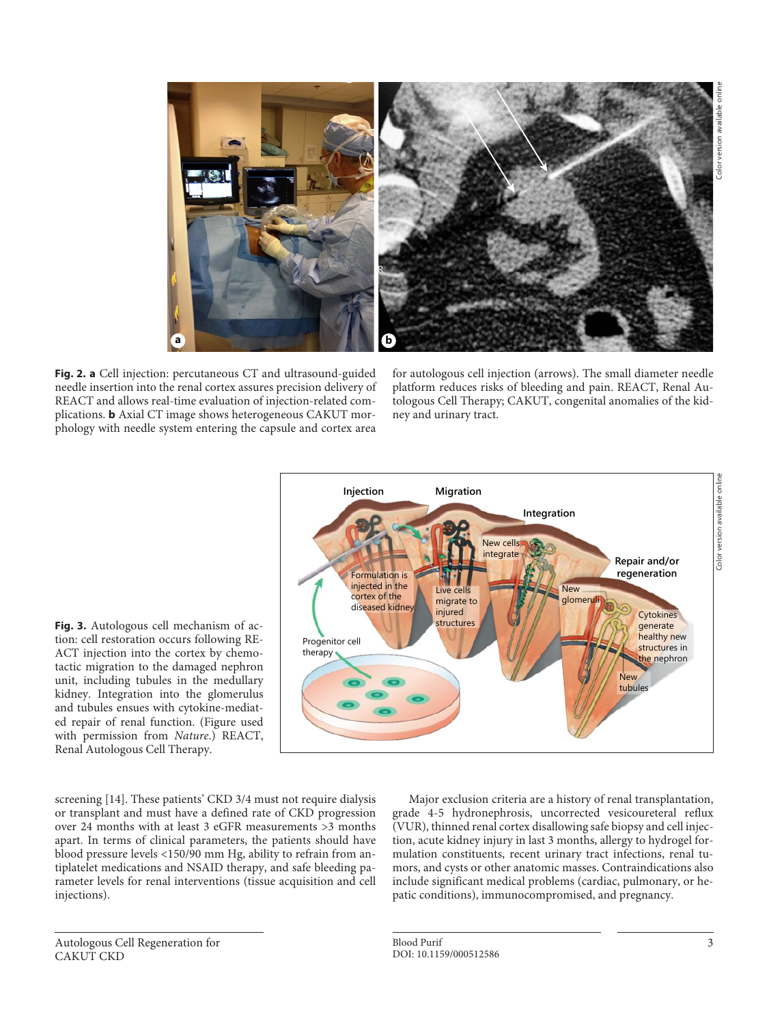

**Fig. 2. a** Cell injection: percutaneous CT and ultrasound-guided needle insertion into the renal cortex assures precision delivery of REACT and allows real-time evaluation of injection-related complications. **b** Axial CT image shows heterogeneous CAKUT morphology with needle system entering the capsule and cortex area

for autologous cell injection (arrows). The small diameter needle platform reduces risks of bleeding and pain. REACT, Renal Autologous Cell Therapy; CAKUT, congenital anomalies of the kidney and urinary tract.



**Fig. 3.** Autologous cell mechanism of action: cell restoration occurs following RE-ACT injection into the cortex by chemotactic migration to the damaged nephron unit, including tubules in the medullary kidney. Integration into the glomerulus and tubules ensues with cytokine-mediated repair of renal function. (Figure used with permission from *Nature*.) REACT, Renal Autologous Cell Therapy.

screening [\[1](#page-4-0)[4\]](#page-5-1). These patients' CKD 3/4 must not require dialysis or transplant and must have a defined rate of CKD progression over 24 months with at least 3 eGFR measurements >3 months apart. In terms of clinical parameters, the patients should have blood pressure levels <150/90 mm Hg, ability to refrain from antiplatelet medications and NSAID therapy, and safe bleeding parameter levels for renal interventions (tissue acquisition and cell injections).

Major exclusion criteria are a history of renal transplantation, grade 4-5 hydronephrosis, uncorrected vesicoureteral reflux (VUR), thinned renal cortex disallowing safe biopsy and cell injection, acute kidney injury in last 3 months, allergy to hydrogel formulation constituents, recent urinary tract infections, renal tumors, and cysts or other anatomic masses. Contraindications also include significant medical problems (cardiac, pulmonary, or hepatic conditions), immunocompromised, and pregnancy.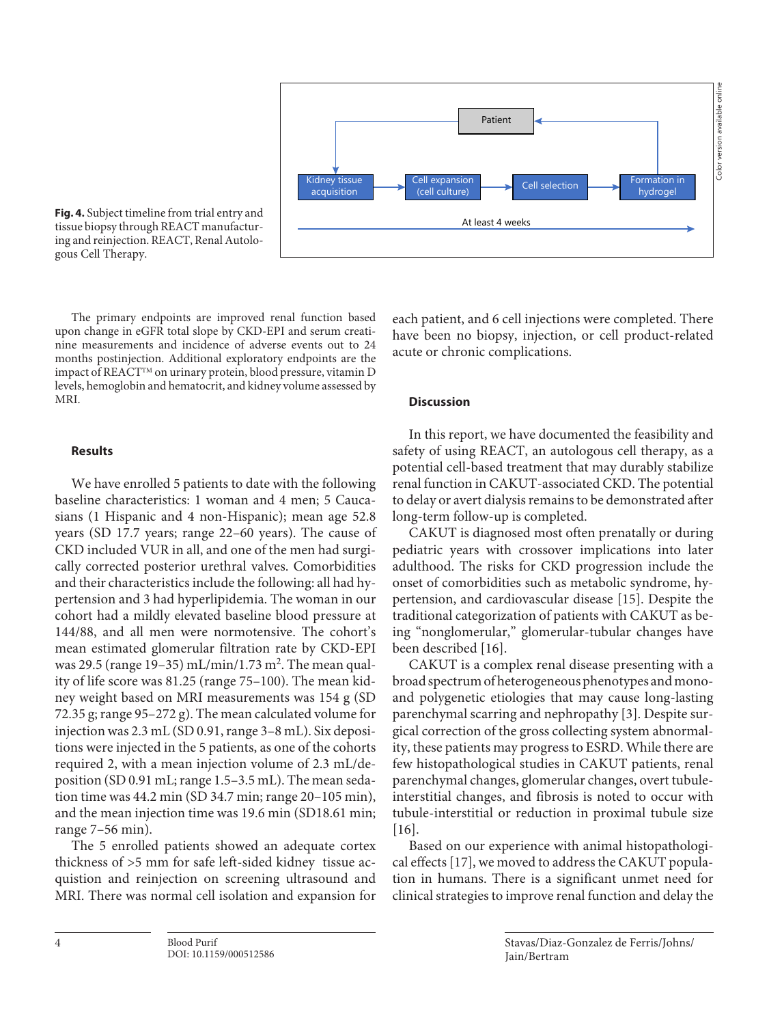

**Fig. 4.** Subject timeline from trial entry and tissue biopsy through REACT manufacturing and reinjection. REACT, Renal Autologous Cell Therapy.

The primary endpoints are improved renal function based upon change in eGFR total slope by CKD-EPI and serum creatinine measurements and incidence of adverse events out to 24 months postinjection. Additional exploratory endpoints are the impact of REACTTM on urinary protein, blood pressure, vitamin D levels, hemoglobin and hematocrit, and kidney volume assessed by MRI.

## **Results**

We have enrolled 5 patients to date with the following baseline characteristics: 1 woman and 4 men; 5 Caucasians (1 Hispanic and 4 non-Hispanic); mean age 52.8 years (SD 17.7 years; range 22–60 years). The cause of CKD included VUR in all, and one of the men had surgically corrected posterior urethral valves. Comorbidities and their characteristics include the following: all had hypertension and 3 had hyperlipidemia. The woman in our cohort had a mildly elevated baseline blood pressure at 144/88, and all men were normotensive. The cohort's mean estimated glomerular filtration rate by CKD-EPI was 29.5 (range 19–35) mL/min/1.73 m<sup>2</sup>. The mean quality of life score was 81.25 (range 75–100). The mean kidney weight based on MRI measurements was 154 g (SD 72.35 g; range 95–272 g). The mean calculated volume for injection was 2.3 mL (SD 0.91, range 3–8 mL). Six depositions were injected in the 5 patients, as one of the cohorts required 2, with a mean injection volume of 2.3 mL/deposition (SD 0.91 mL; range 1.5–3.5 mL). The mean sedation time was 44.2 min (SD 34.7 min; range 20–105 min), and the mean injection time was 19.6 min (SD18.61 min; range 7–56 min).

The 5 enrolled patients showed an adequate cortex thickness of >5 mm for safe left-sided kidney tissue acquistion and reinjection on screening ultrasound and MRI. There was normal cell isolation and expansion for

DOI: 10.1159/000512586

each patient, and 6 cell injections were completed. There have been no biopsy, injection, or cell product-related acute or chronic complications.

#### **Discussion**

In this report, we have documented the feasibility and safety of using REACT, an autologous cell therapy, as a potential cell-based treatment that may durably stabilize renal function in CAKUT-associated CKD. The potential to delay or avert dialysis remains to be demonstrated after long-term follow-up is completed.

CAKUT is diagnosed most often prenatally or during pediatric years with crossover implications into later adulthood. The risks for CKD progression include the onset of comorbidities such as metabolic syndrome, hypertension, and cardiovascular disease [\[1](#page-4-0)[5\]](#page-5-2). Despite the traditional categorization of patients with CAKUT as being "nonglomerular," glomerular-tubular changes have been described [\[1](#page-4-0)[6\]](#page-5-3).

CAKUT is a complex renal disease presenting with a broad spectrum of heterogeneous phenotypes and monoand polygenetic etiologies that may cause long-lasting parenchymal scarring and nephropathy [[3](#page-5-0)]. Despite surgical correction of the gross collecting system abnormality, these patients may progress to ESRD. While there are few histopathological studies in CAKUT patients, renal parenchymal changes, glomerular changes, overt tubuleinterstitial changes, and fibrosis is noted to occur with tubule-interstitial or reduction in proximal tubule size [[1](#page-4-0)[6\]](#page-5-3).

Based on our experience with animal histopathological effects [[1](#page-4-0)[7](#page-5-4)], we moved to address the CAKUT population in humans. There is a significant unmet need for clinical strategies to improve renal function and delay the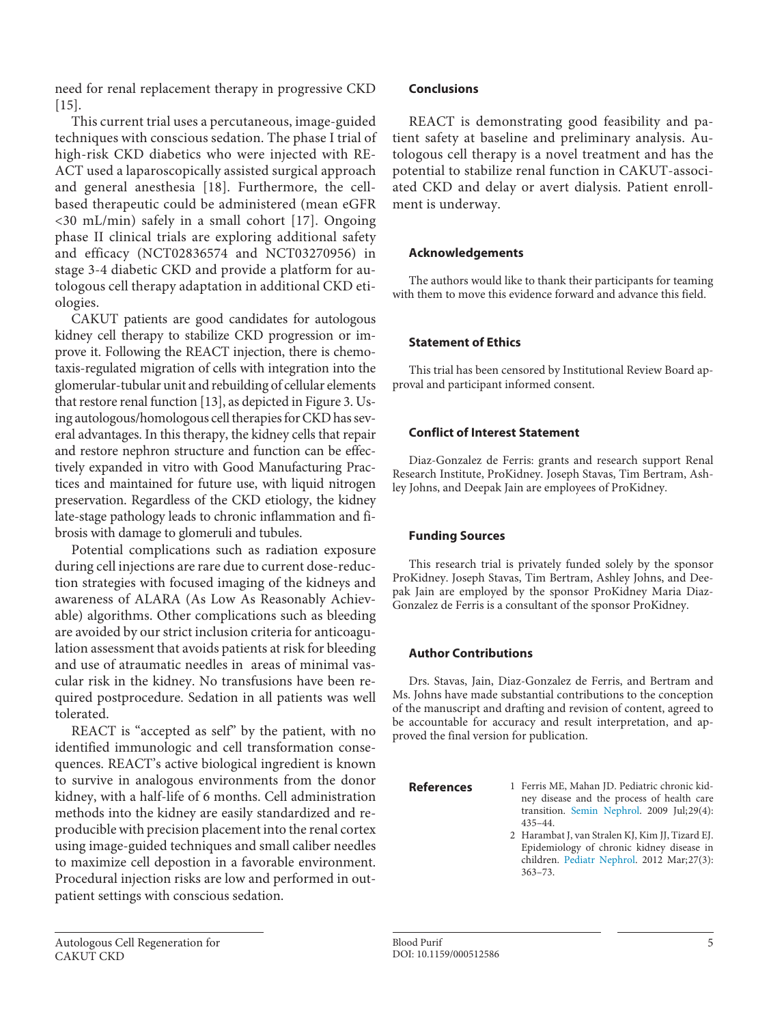need for renal replacement therapy in progressive CKD [\[1](#page-4-0)[5\]](#page-5-2).

This current trial uses a percutaneous, image-guided techniques with conscious sedation. The phase I trial of high-risk CKD diabetics who were injected with RE-ACT used a laparoscopically assisted surgical approach and general anesthesia [[1](#page-4-0)[8\]](#page-5-5). Furthermore, the cellbased therapeutic could be administered (mean eGFR <30 mL/min) safely in a small cohort [\[1](#page-4-0)[7](#page-5-4)]. Ongoing phase II clinical trials are exploring additional safety and efficacy (NCT02836574 and NCT03270956) in stage 3-4 diabetic CKD and provide a platform for autologous cell therapy adaptation in additional CKD etiologies.

CAKUT patients are good candidates for autologous kidney cell therapy to stabilize CKD progression or improve it. Following the REACT injection, there is chemotaxis-regulated migration of cells with integration into the glomerular-tubular unit and rebuilding of cellular elements that restore renal function [[1](#page-4-0)[3\]](#page-5-0), as depicted in Figure 3. Using autologous/homologous cell therapies for CKD has several advantages. In this therapy, the kidney cells that repair and restore nephron structure and function can be effectively expanded in vitro with Good Manufacturing Practices and maintained for future use, with liquid nitrogen preservation. Regardless of the CKD etiology, the kidney late-stage pathology leads to chronic inflammation and fibrosis with damage to glomeruli and tubules.

Potential complications such as radiation exposure during cell injections are rare due to current dose-reduction strategies with focused imaging of the kidneys and awareness of ALARA (As Low As Reasonably Achievable) algorithms. Other complications such as bleeding are avoided by our strict inclusion criteria for anticoagulation assessment that avoids patients at risk for bleeding and use of atraumatic needles in areas of minimal vascular risk in the kidney. No transfusions have been required postprocedure. Sedation in all patients was well tolerated.

REACT is "accepted as self" by the patient, with no identified immunologic and cell transformation consequences. REACT's active biological ingredient is known to survive in analogous environments from the donor kidney, with a half-life of 6 months. Cell administration methods into the kidney are easily standardized and reproducible with precision placement into the renal cortex using image-guided techniques and small caliber needles to maximize cell depostion in a favorable environment. Procedural injection risks are low and performed in outpatient settings with conscious sedation.

REACT is demonstrating good feasibility and patient safety at baseline and preliminary analysis. Autologous cell therapy is a novel treatment and has the potential to stabilize renal function in CAKUT-associated CKD and delay or avert dialysis. Patient enrollment is underway.

# **Acknowledgements**

The authors would like to thank their participants for teaming with them to move this evidence forward and advance this field.

## **Statement of Ethics**

This trial has been censored by Institutional Review Board approval and participant informed consent.

## **Conflict of Interest Statement**

Diaz-Gonzalez de Ferris: grants and research support Renal Research Institute, ProKidney. Joseph Stavas, Tim Bertram, Ashley Johns, and Deepak Jain are employees of ProKidney.

# **Funding Sources**

This research trial is privately funded solely by the sponsor ProKidney. Joseph Stavas, Tim Bertram, Ashley Johns, and Deepak Jain are employed by the sponsor ProKidney Maria Diaz-Gonzalez de Ferris is a consultant of the sponsor ProKidney.

# **Author Contributions**

Drs. Stavas, Jain, Diaz-Gonzalez de Ferris, and Bertram and Ms. Johns have made substantial contributions to the conception of the manuscript and drafting and revision of content, agreed to be accountable for accuracy and result interpretation, and approved the final version for publication.

**References**

- <span id="page-4-0"></span>[1](#page-1-0) Ferris ME, Mahan JD. Pediatric chronic kidney disease and the process of health care transition. [Semin Nephrol](https://www.karger.com/Article/FullText/512586?ref=1#ref1). 2009 Jul;29(4): 435–44.
- <span id="page-4-1"></span>[2](#page-1-0) Harambat J, van Stralen KJ, Kim JJ, Tizard EJ. Epidemiology of chronic kidney disease in children. [Pediatr Nephrol](https://www.karger.com/Article/FullText/512586?ref=2#ref2). 2012 Mar;27(3): 363–73.